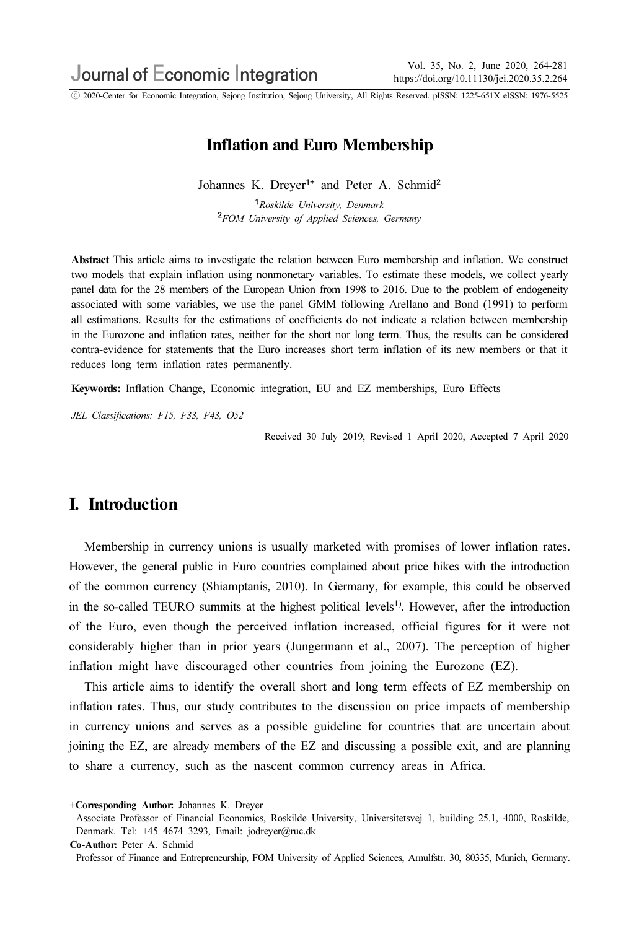ⓒ 2020-Center for Economic Integration, Sejong Institution, Sejong University, All Rights Reserved. pISSN: 1225-651X eISSN: 1976-5525

# Inflation and Euro Membership

Johannes K. Dreyer<sup>1+</sup> and Peter A. Schmid<sup>2</sup>

<sup>1</sup>Roskilde University, Denmark <sup>2</sup>FOM University of Applied Sciences, Germany

Abstract This article aims to investigate the relation between Euro membership and inflation. We construct two models that explain inflation using nonmonetary variables. To estimate these models, we collect yearly panel data for the 28 members of the European Union from 1998 to 2016. Due to the problem of endogeneity associated with some variables, we use the panel GMM following Arellano and Bond (1991) to perform all estimations. Results for the estimations of coefficients do not indicate a relation between membership in the Eurozone and inflation rates, neither for the short nor long term. Thus, the results can be considered contra-evidence for statements that the Euro increases short term inflation of its new members or that it reduces long term inflation rates permanently.

Keywords: Inflation Change, Economic integration, EU and EZ memberships, Euro Effects

JEL Classifications: F15, F33, F43, O52

Received 30 July 2019, Revised 1 April 2020, Accepted 7 April 2020

## I. Introduction

Membership in currency unions is usually marketed with promises of lower inflation rates. However, the general public in Euro countries complained about price hikes with the introduction of the common currency (Shiamptanis, 2010). In Germany, for example, this could be observed in the so-called TEURO summits at the highest political levels<sup>1)</sup>. However, after the introduction of the Euro, even though the perceived inflation increased, official figures for it were not considerably higher than in prior years (Jungermann et al., 2007). The perception of higher inflation might have discouraged other countries from joining the Eurozone (EZ).

This article aims to identify the overall short and long term effects of EZ membership on inflation rates. Thus, our study contributes to the discussion on price impacts of membership in currency unions and serves as a possible guideline for countries that are uncertain about joining the EZ, are already members of the EZ and discussing a possible exit, and are planning to share a currency, such as the nascent common currency areas in Africa.

<sup>+</sup>Corresponding Author: Johannes K. Dreyer

Associate Professor of Financial Economics, Roskilde University, Universitetsvej 1, building 25.1, 4000, Roskilde, Denmark. Tel: +45 4674 3293, Email: jodreyer@ruc.dk

Co-Author: Peter A. Schmid

Professor of Finance and Entrepreneurship, FOM University of Applied Sciences, Arnulfstr. 30, 80335, Munich, Germany.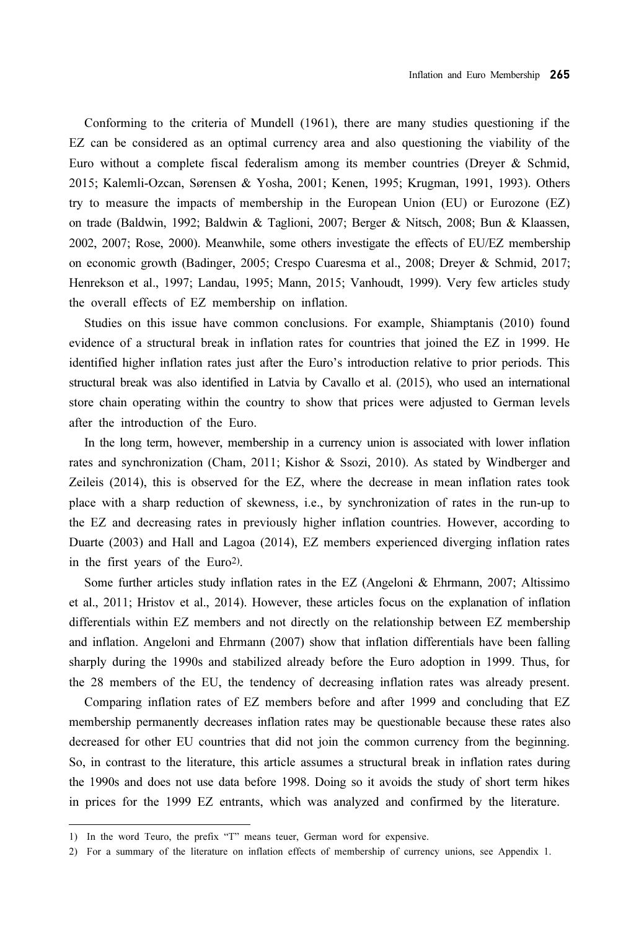Conforming to the criteria of Mundell (1961), there are many studies questioning if the EZ can be considered as an optimal currency area and also questioning the viability of the Euro without a complete fiscal federalism among its member countries (Dreyer & Schmid, 2015; Kalemli-Ozcan, Sørensen & Yosha, 2001; Kenen, 1995; Krugman, 1991, 1993). Others try to measure the impacts of membership in the European Union (EU) or Eurozone (EZ) on trade (Baldwin, 1992; Baldwin & Taglioni, 2007; Berger & Nitsch, 2008; Bun & Klaassen, 2002, 2007; Rose, 2000). Meanwhile, some others investigate the effects of EU/EZ membership on economic growth (Badinger, 2005; Crespo Cuaresma et al., 2008; Dreyer & Schmid, 2017; Henrekson et al., 1997; Landau, 1995; Mann, 2015; Vanhoudt, 1999). Very few articles study the overall effects of EZ membership on inflation.

Studies on this issue have common conclusions. For example, Shiamptanis (2010) found evidence of a structural break in inflation rates for countries that joined the EZ in 1999. He identified higher inflation rates just after the Euro's introduction relative to prior periods. This structural break was also identified in Latvia by Cavallo et al. (2015), who used an international store chain operating within the country to show that prices were adjusted to German levels after the introduction of the Euro.

In the long term, however, membership in a currency union is associated with lower inflation rates and synchronization (Cham, 2011; Kishor & Ssozi, 2010). As stated by Windberger and Zeileis (2014), this is observed for the EZ, where the decrease in mean inflation rates took place with a sharp reduction of skewness, i.e., by synchronization of rates in the run-up to the EZ and decreasing rates in previously higher inflation countries. However, according to Duarte (2003) and Hall and Lagoa (2014), EZ members experienced diverging inflation rates in the first years of the Euro2).

Some further articles study inflation rates in the EZ (Angeloni & Ehrmann, 2007; Altissimo et al., 2011; Hristov et al., 2014). However, these articles focus on the explanation of inflation differentials within EZ members and not directly on the relationship between EZ membership and inflation. Angeloni and Ehrmann (2007) show that inflation differentials have been falling sharply during the 1990s and stabilized already before the Euro adoption in 1999. Thus, for the 28 members of the EU, the tendency of decreasing inflation rates was already present.

Comparing inflation rates of EZ members before and after 1999 and concluding that EZ membership permanently decreases inflation rates may be questionable because these rates also decreased for other EU countries that did not join the common currency from the beginning. So, in contrast to the literature, this article assumes a structural break in inflation rates during the 1990s and does not use data before 1998. Doing so it avoids the study of short term hikes in prices for the 1999 EZ entrants, which was analyzed and confirmed by the literature.

<sup>1)</sup> In the word Teuro, the prefix "T" means teuer, German word for expensive.

<sup>2)</sup> For a summary of the literature on inflation effects of membership of currency unions, see Appendix 1.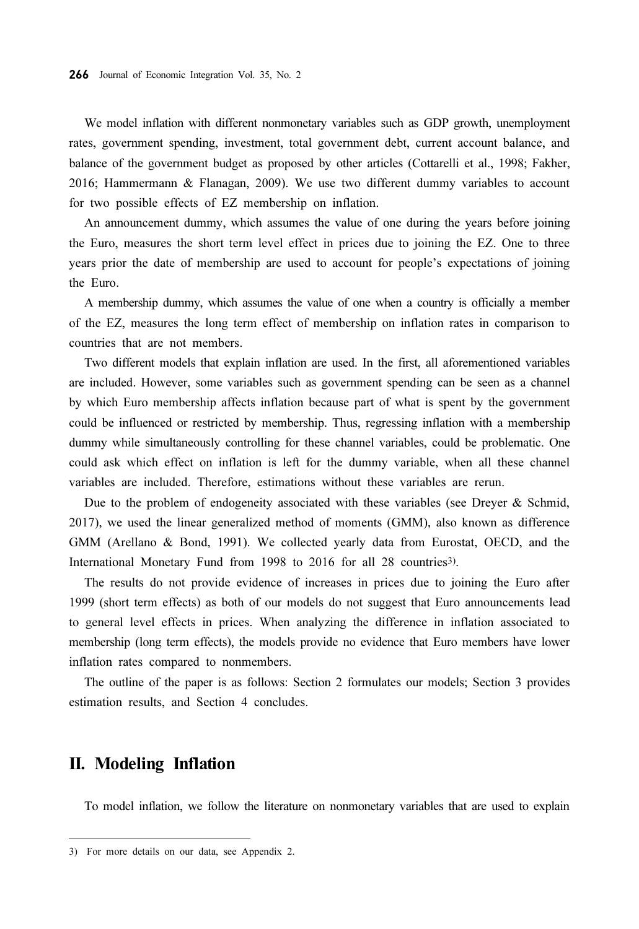We model inflation with different nonmonetary variables such as GDP growth, unemployment rates, government spending, investment, total government debt, current account balance, and balance of the government budget as proposed by other articles (Cottarelli et al., 1998; Fakher, 2016; Hammermann & Flanagan, 2009). We use two different dummy variables to account for two possible effects of EZ membership on inflation.

An announcement dummy, which assumes the value of one during the years before joining the Euro, measures the short term level effect in prices due to joining the EZ. One to three years prior the date of membership are used to account for people's expectations of joining the Euro.

A membership dummy, which assumes the value of one when a country is officially a member of the EZ, measures the long term effect of membership on inflation rates in comparison to countries that are not members.

Two different models that explain inflation are used. In the first, all aforementioned variables are included. However, some variables such as government spending can be seen as a channel by which Euro membership affects inflation because part of what is spent by the government could be influenced or restricted by membership. Thus, regressing inflation with a membership dummy while simultaneously controlling for these channel variables, could be problematic. One could ask which effect on inflation is left for the dummy variable, when all these channel variables are included. Therefore, estimations without these variables are rerun.

Due to the problem of endogeneity associated with these variables (see Dreyer & Schmid, 2017), we used the linear generalized method of moments (GMM), also known as difference GMM (Arellano & Bond, 1991). We collected yearly data from Eurostat, OECD, and the International Monetary Fund from 1998 to 2016 for all 28 countries3).

The results do not provide evidence of increases in prices due to joining the Euro after 1999 (short term effects) as both of our models do not suggest that Euro announcements lead to general level effects in prices. When analyzing the difference in inflation associated to membership (long term effects), the models provide no evidence that Euro members have lower inflation rates compared to nonmembers.

The outline of the paper is as follows: Section 2 formulates our models; Section 3 provides estimation results, and Section 4 concludes.

## II. Modeling Inflation

To model inflation, we follow the literature on nonmonetary variables that are used to explain

<sup>3)</sup> For more details on our data, see Appendix 2.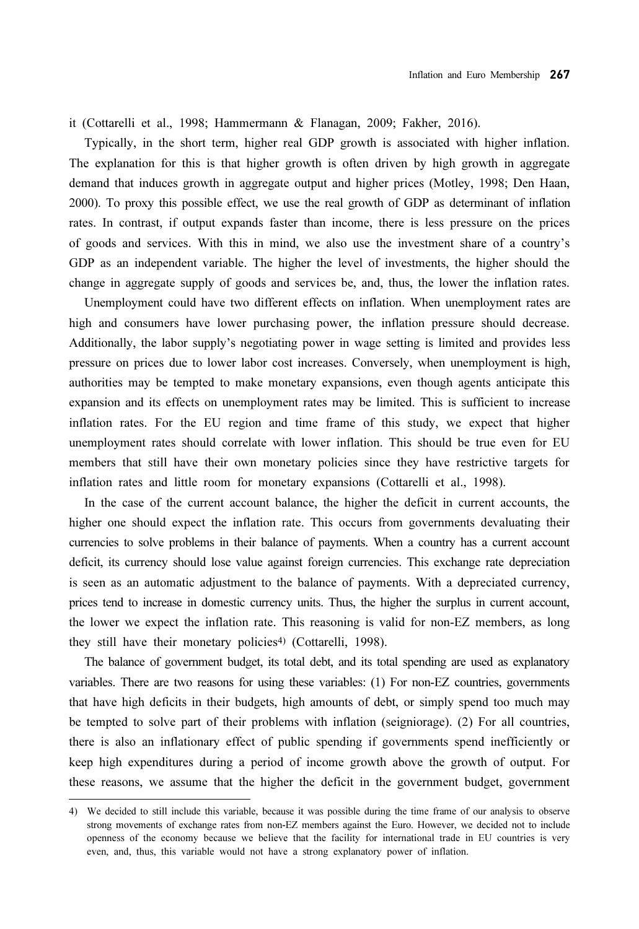it (Cottarelli et al., 1998; Hammermann & Flanagan, 2009; Fakher, 2016).

Typically, in the short term, higher real GDP growth is associated with higher inflation. The explanation for this is that higher growth is often driven by high growth in aggregate demand that induces growth in aggregate output and higher prices (Motley, 1998; Den Haan, 2000). To proxy this possible effect, we use the real growth of GDP as determinant of inflation rates. In contrast, if output expands faster than income, there is less pressure on the prices of goods and services. With this in mind, we also use the investment share of a country's GDP as an independent variable. The higher the level of investments, the higher should the change in aggregate supply of goods and services be, and, thus, the lower the inflation rates.

Unemployment could have two different effects on inflation. When unemployment rates are high and consumers have lower purchasing power, the inflation pressure should decrease. Additionally, the labor supply's negotiating power in wage setting is limited and provides less pressure on prices due to lower labor cost increases. Conversely, when unemployment is high, authorities may be tempted to make monetary expansions, even though agents anticipate this expansion and its effects on unemployment rates may be limited. This is sufficient to increase inflation rates. For the EU region and time frame of this study, we expect that higher unemployment rates should correlate with lower inflation. This should be true even for EU members that still have their own monetary policies since they have restrictive targets for inflation rates and little room for monetary expansions (Cottarelli et al., 1998).

In the case of the current account balance, the higher the deficit in current accounts, the higher one should expect the inflation rate. This occurs from governments devaluating their currencies to solve problems in their balance of payments. When a country has a current account deficit, its currency should lose value against foreign currencies. This exchange rate depreciation is seen as an automatic adjustment to the balance of payments. With a depreciated currency, prices tend to increase in domestic currency units. Thus, the higher the surplus in current account, the lower we expect the inflation rate. This reasoning is valid for non-EZ members, as long they still have their monetary policies<sup>4)</sup> (Cottarelli, 1998).

The balance of government budget, its total debt, and its total spending are used as explanatory variables. There are two reasons for using these variables: (1) For non-EZ countries, governments that have high deficits in their budgets, high amounts of debt, or simply spend too much may be tempted to solve part of their problems with inflation (seigniorage). (2) For all countries, there is also an inflationary effect of public spending if governments spend inefficiently or keep high expenditures during a period of income growth above the growth of output. For these reasons, we assume that the higher the deficit in the government budget, government

<sup>4)</sup> We decided to still include this variable, because it was possible during the time frame of our analysis to observe strong movements of exchange rates from non-EZ members against the Euro. However, we decided not to include openness of the economy because we believe that the facility for international trade in EU countries is very even, and, thus, this variable would not have a strong explanatory power of inflation.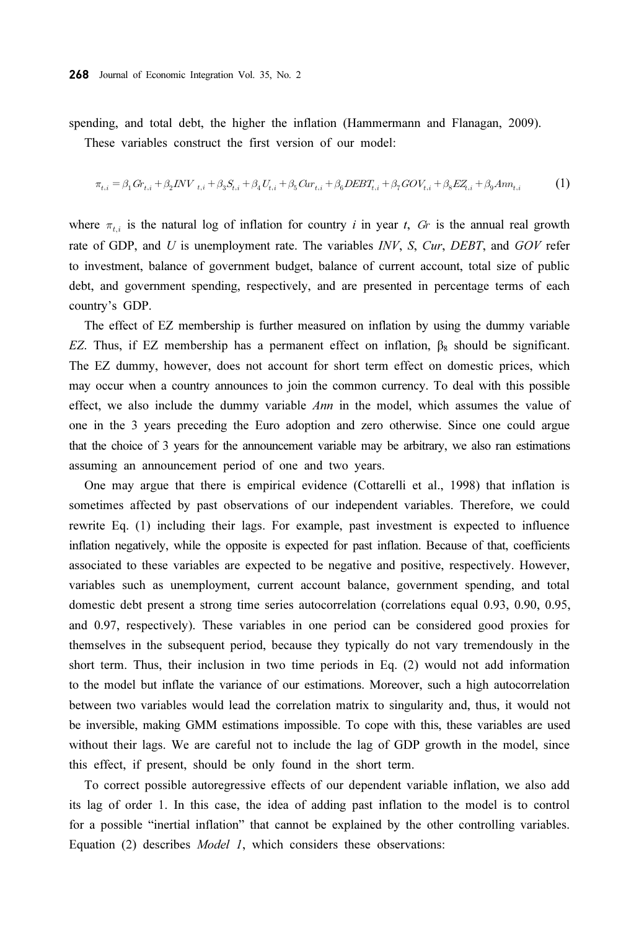spending, and total debt, the higher the inflation (Hammermann and Flanagan, 2009).

These variables construct the first version of our model:

$$
\pi_{t,i} = \beta_1 G_{t,i} + \beta_2 INV_{t,i} + \beta_3 S_{t,i} + \beta_4 U_{t,i} + \beta_5 G_{t,i} + \beta_6 DEBT_{t,i} + \beta_7 GOV_{t,i} + \beta_8 EZ_{t,i} + \beta_9 Ann_{t,i}
$$
 (1)

where  $\pi_{t,i}$  is the natural log of inflation for country i in year t,  $Gr$  is the annual real growth rate of GDP, and U is unemployment rate. The variables  $INV$ , S, Cur, DEBT, and GOV refer to investment, balance of government budget, balance of current account, total size of public debt, and government spending, respectively, and are presented in percentage terms of each country's GDP.

The effect of EZ membership is further measured on inflation by using the dummy variable EZ. Thus, if EZ membership has a permanent effect on inflation,  $\beta_8$  should be significant. The EZ dummy, however, does not account for short term effect on domestic prices, which may occur when a country announces to join the common currency. To deal with this possible effect, we also include the dummy variable  $Amn$  in the model, which assumes the value of one in the 3 years preceding the Euro adoption and zero otherwise. Since one could argue that the choice of 3 years for the announcement variable may be arbitrary, we also ran estimations assuming an announcement period of one and two years.

One may argue that there is empirical evidence (Cottarelli et al., 1998) that inflation is sometimes affected by past observations of our independent variables. Therefore, we could rewrite Eq. (1) including their lags. For example, past investment is expected to influence inflation negatively, while the opposite is expected for past inflation. Because of that, coefficients associated to these variables are expected to be negative and positive, respectively. However, variables such as unemployment, current account balance, government spending, and total domestic debt present a strong time series autocorrelation (correlations equal 0.93, 0.90, 0.95, and 0.97, respectively). These variables in one period can be considered good proxies for themselves in the subsequent period, because they typically do not vary tremendously in the short term. Thus, their inclusion in two time periods in Eq. (2) would not add information to the model but inflate the variance of our estimations. Moreover, such a high autocorrelation between two variables would lead the correlation matrix to singularity and, thus, it would not be inversible, making GMM estimations impossible. To cope with this, these variables are used without their lags. We are careful not to include the lag of GDP growth in the model, since this effect, if present, should be only found in the short term.

To correct possible autoregressive effects of our dependent variable inflation, we also add its lag of order 1. In this case, the idea of adding past inflation to the model is to control for a possible "inertial inflation" that cannot be explained by the other controlling variables. Equation (2) describes Model 1, which considers these observations: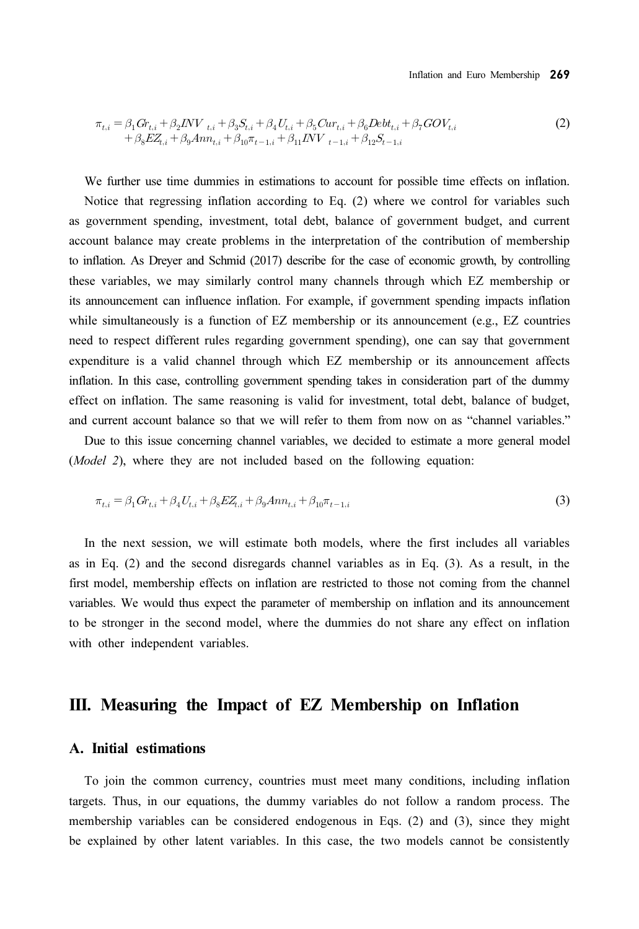Inflation and Euro Membership 269

$$
\pi_{t,i} = \beta_1 G_{t,i} + \beta_2 INV_{t,i} + \beta_3 S_{t,i} + \beta_4 U_{t,i} + \beta_5 C u_{t,i} + \beta_6 D e b t_{t,i} + \beta_7 G O V_{t,i} + \beta_8 E Z_{t,i} + \beta_9 A n n_{t,i} + \beta_{10} \pi_{t-1,i} + \beta_{11} INV_{t-1,i} + \beta_{12} S_{t-1,i}
$$
\n(2)

We further use time dummies in estimations to account for possible time effects on inflation. Notice that regressing inflation according to Eq. (2) where we control for variables such as government spending, investment, total debt, balance of government budget, and current account balance may create problems in the interpretation of the contribution of membership to inflation. As Dreyer and Schmid (2017) describe for the case of economic growth, by controlling these variables, we may similarly control many channels through which EZ membership or its announcement can influence inflation. For example, if government spending impacts inflation while simultaneously is a function of EZ membership or its announcement (e.g., EZ countries need to respect different rules regarding government spending), one can say that government expenditure is a valid channel through which EZ membership or its announcement affects inflation. In this case, controlling government spending takes in consideration part of the dummy effect on inflation. The same reasoning is valid for investment, total debt, balance of budget, and current account balance so that we will refer to them from now on as "channel variables."

Due to this issue concerning channel variables, we decided to estimate a more general model (Model 2), where they are not included based on the following equation:

$$
\pi_{t,i} = \beta_1 G_{t,i} + \beta_4 U_{t,i} + \beta_8 E Z_{t,i} + \beta_9 A n n_{t,i} + \beta_{10} \pi_{t-1,i}
$$
\n(3)

In the next session, we will estimate both models, where the first includes all variables as in Eq. (2) and the second disregards channel variables as in Eq. (3). As a result, in the first model, membership effects on inflation are restricted to those not coming from the channel variables. We would thus expect the parameter of membership on inflation and its announcement to be stronger in the second model, where the dummies do not share any effect on inflation with other independent variables.

## III. Measuring the Impact of EZ Membership on Inflation

#### A. Initial estimations

To join the common currency, countries must meet many conditions, including inflation targets. Thus, in our equations, the dummy variables do not follow a random process. The membership variables can be considered endogenous in Eqs. (2) and (3), since they might be explained by other latent variables. In this case, the two models cannot be consistently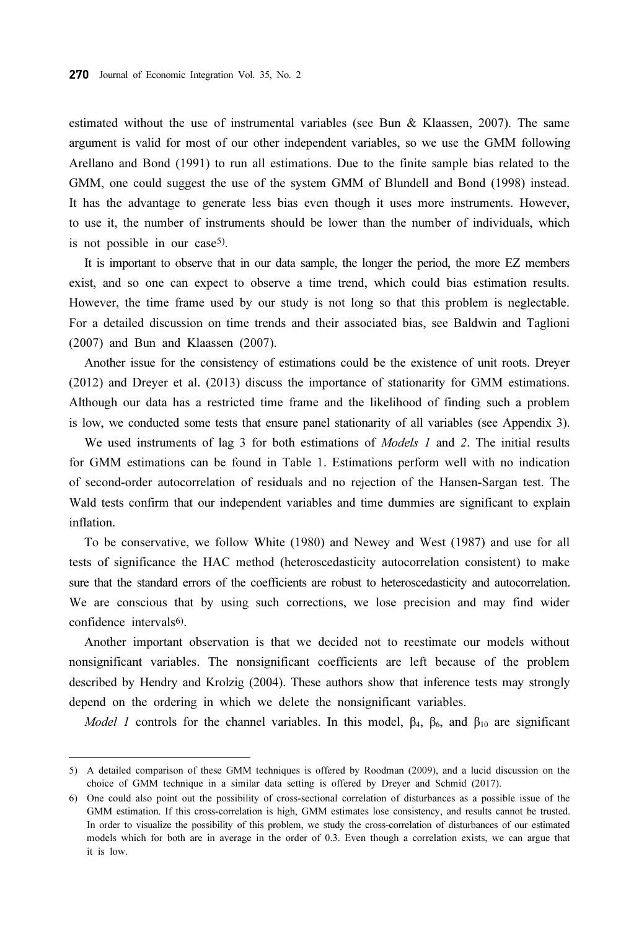estimated without the use of instrumental variables (see Bun & Klaassen, 2007). The same argument is valid for most of our other independent variables, so we use the GMM following Arellano and Bond (1991) to run all estimations. Due to the finite sample bias related to the GMM, one could suggest the use of the system GMM of Blundell and Bond (1998) instead. It has the advantage to generate less bias even though it uses more instruments. However, to use it, the number of instruments should be lower than the number of individuals, which is not possible in our case5).

It is important to observe that in our data sample, the longer the period, the more EZ members exist, and so one can expect to observe a time trend, which could bias estimation results. However, the time frame used by our study is not long so that this problem is neglectable. For a detailed discussion on time trends and their associated bias, see Baldwin and Taglioni (2007) and Bun and Klaassen (2007).

Another issue for the consistency of estimations could be the existence of unit roots. Dreyer (2012) and Dreyer et al. (2013) discuss the importance of stationarity for GMM estimations. Although our data has a restricted time frame and the likelihood of finding such a problem is low, we conducted some tests that ensure panel stationarity of all variables (see Appendix 3).

We used instruments of lag 3 for both estimations of *Models 1* and 2. The initial results for GMM estimations can be found in Table 1. Estimations perform well with no indication of second-order autocorrelation of residuals and no rejection of the Hansen-Sargan test. The Wald tests confirm that our independent variables and time dummies are significant to explain inflation.

To be conservative, we follow White (1980) and Newey and West (1987) and use for all tests of significance the HAC method (heteroscedasticity autocorrelation consistent) to make sure that the standard errors of the coefficients are robust to heteroscedasticity and autocorrelation. We are conscious that by using such corrections, we lose precision and may find wider confidence intervals<sup>6</sup>).

Another important observation is that we decided not to reestimate our models without nonsignificant variables. The nonsignificant coefficients are left because of the problem described by Hendry and Krolzig (2004). These authors show that inference tests may strongly depend on the ordering in which we delete the nonsignificant variables.

Model 1 controls for the channel variables. In this model,  $\beta_4$ ,  $\beta_6$ , and  $\beta_{10}$  are significant

<sup>5)</sup> A detailed comparison of these GMM techniques is offered by Roodman (2009), and a lucid discussion on the choice of GMM technique in a similar data setting is offered by Dreyer and Schmid (2017).

<sup>6)</sup> One could also point out the possibility of cross-sectional correlation of disturbances as a possible issue of the GMM estimation. If this cross-correlation is high, GMM estimates lose consistency, and results cannot be trusted. In order to visualize the possibility of this problem, we study the cross-correlation of disturbances of our estimated models which for both are in average in the order of 0.3. Even though a correlation exists, we can argue that it is low.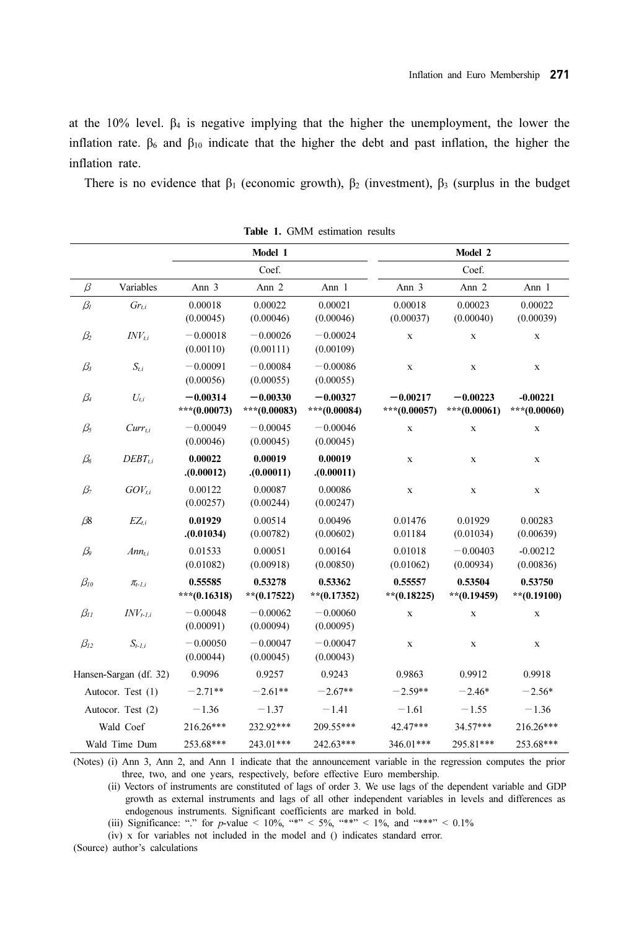at the 10% level.  $\beta_4$  is negative implying that the higher the unemployment, the lower the inflation rate.  $β<sub>6</sub>$  and  $β<sub>10</sub>$  indicate that the higher the debt and past inflation, the higher the inflation rate.

There is no evidence that  $\beta_1$  (economic growth),  $\beta_2$  (investment),  $\beta_3$  (surplus in the budget

|                        |                   |                            |                            | <b>THE 1.</b> GIVEN ESTIMATION RESULTS |                            |                            |                            |  |
|------------------------|-------------------|----------------------------|----------------------------|----------------------------------------|----------------------------|----------------------------|----------------------------|--|
|                        |                   | Model 1                    |                            |                                        | Model 2                    |                            |                            |  |
|                        |                   | Coef.                      |                            |                                        | Coef.                      |                            |                            |  |
| $\beta$                | Variables         | Ann 3                      | Ann 2                      | Ann 1                                  | Ann 3                      | Ann 2                      | Ann 1                      |  |
| $\beta_I$              | $Gr_{ti}$         | 0.00018<br>(0.00045)       | 0.00022<br>(0.00046)       | 0.00021<br>(0.00046)                   | 0.00018<br>(0.00037)       | 0.00023<br>(0.00040)       | 0.00022<br>(0.00039)       |  |
| $\beta_2$              | $INV_{t,i}$       | $-0.00018$<br>(0.00110)    | $-0.00026$<br>(0.00111)    | $-0.00024$<br>(0.00109)                | $\mathbf x$                | $\mathbf X$                | $\mathbf X$                |  |
| $\beta_3$              | $S_{t,i}$         | $-0.00091$<br>(0.00056)    | $-0.00084$<br>(0.00055)    | $-0.00086$<br>(0.00055)                | $\mathbf x$                | $\mathbf X$                | $\mathbf X$                |  |
| $\beta_4$              | $U_{t,i}$         | $-0.00314$<br>***(0.00073) | $-0.00330$<br>***(0.00083) | $-0.00327$<br>***(0.00084)             | $-0.00217$<br>***(0.00057) | $-0.00223$<br>***(0.00061) | $-0.00221$<br>***(0.00060) |  |
| $\beta_5$              | $Curr_{t,i}$      | $-0.00049$<br>(0.00046)    | $-0.00045$<br>(0.00045)    | $-0.00046$<br>(0.00045)                | $\mathbf x$                | $\mathbf X$                | $\mathbf X$                |  |
| $\beta_{6}$            | $DEBT_{ti}$       | 0.00022<br>(0.00012)       | 0.00019<br>(0.00011)       | 0.00019<br>(0.00011)                   | $\mathbf x$                | $\mathbf X$                | $\mathbf X$                |  |
| $\beta_7$              | $GOV_{ti}$        | 0.00122<br>(0.00257)       | 0.00087<br>(0.00244)       | 0.00086<br>(0.00247)                   | $\mathbf x$                | $\mathbf X$                | $\mathbf X$                |  |
| $\beta\!\!\delta$      | $EZ_{t,i}$        | 0.01929<br>(0.01034)       | 0.00514<br>(0.00782)       | 0.00496<br>(0.00602)                   | 0.01476<br>0.01184         | 0.01929<br>(0.01034)       | 0.00283<br>(0.00639)       |  |
| $\beta_{9}$            | $Am_{t,i}$        | 0.01533<br>(0.01082)       | 0.00051<br>(0.00918)       | 0.00164<br>(0.00850)                   | 0.01018<br>(0.01062)       | $-0.00403$<br>(0.00934)    | $-0.00212$<br>(0.00836)    |  |
| $\beta_{10}$           | $\pi_{t-l,i}$     | 0.55585<br>***(0.16318)    | 0.53278<br>** $(0.17522)$  | 0.53362<br>** $(0.17352)$              | 0.55557<br>$**$ (0.18225)  | 0.53504<br>$**$ (0.19459)  | 0.53750<br>$**$ (0.19100)  |  |
| $\beta_{II}$           | $INV_{t-l.i}$     | $-0.00048$<br>(0.00091)    | $-0.00062$<br>(0.00094)    | $-0.00060$<br>(0.00095)                | $\mathbf x$                | $\mathbf X$                | $\mathbf X$                |  |
| $\beta_{12}$           | $S_{t-1,i}$       | $-0.00050$<br>(0.00044)    | $-0.00047$<br>(0.00045)    | $-0.00047$<br>(0.00043)                | $\mathbf x$                | $\mathbf X$                | $\mathbf X$                |  |
| Hansen-Sargan (df. 32) |                   | 0.9096                     | 0.9257                     | 0.9243                                 | 0.9863                     | 0.9912                     | 0.9918                     |  |
| Autocor. Test (1)      |                   | $-2.71**$                  | $-2.61**$                  | $-2.67**$                              | $-2.59**$                  | $-2.46*$                   | $-2.56*$                   |  |
|                        | Autocor. Test (2) | $-1.36$                    | $-1.37$                    | $-1.41$                                | $-1.61$                    | $-1.55$                    | $-1.36$                    |  |
|                        | Wald Coef         | 216.26***                  | 232.92***                  | 209.55***                              | 42.47***                   | 34.57***                   | 216.26***                  |  |
| Wald Time Dum          |                   | 253.68***                  | 243.01***                  | 242.63***                              | 346.01***                  | 295.81***                  | 253.68***                  |  |

Table 1. GMM estimation results

(Notes) (i) Ann 3, Ann 2, and Ann 1 indicate that the announcement variable in the regression computes the prior three, two, and one years, respectively, before effective Euro membership.

(ii) Vectors of instruments are constituted of lags of order 3. We use lags of the dependent variable and GDP growth as external instruments and lags of all other independent variables in levels and differences as endogenous instruments. Significant coefficients are marked in bold.

(iii) Significance: "." for  $p$ -value < 10%, "\*" < 5%, "\*\*" < 1%, and "\*\*\*" < 0.1%

(iv) x for variables not included in the model and () indicates standard error.

(Source) author's calculations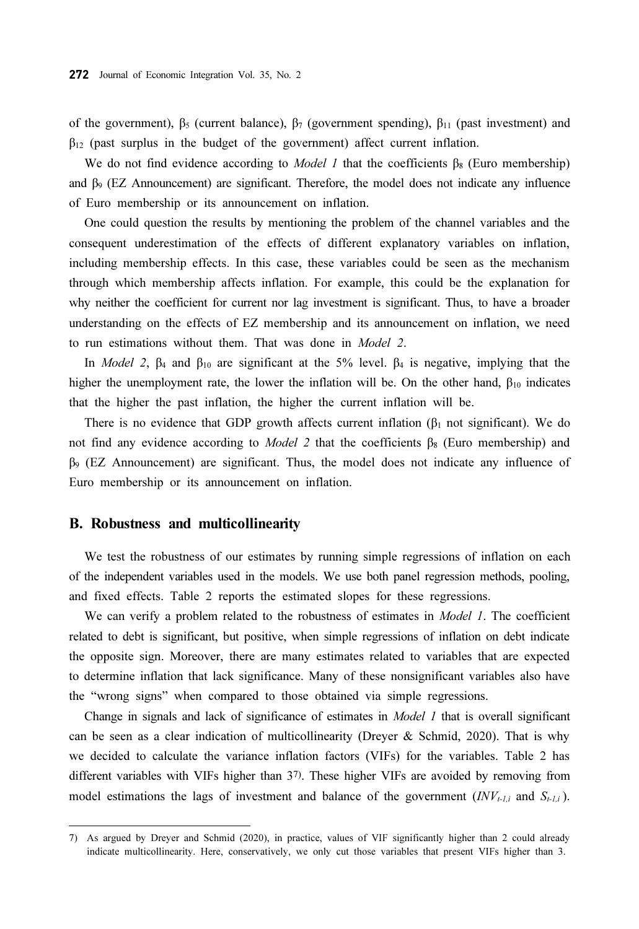of the government),  $β_5$  (current balance),  $β_7$  (government spending),  $β_{11}$  (past investment) and  $\beta_{12}$  (past surplus in the budget of the government) affect current inflation.

We do not find evidence according to *Model 1* that the coefficients  $\beta_8$  (Euro membership) and β9 (EZ Announcement) are significant. Therefore, the model does not indicate any influence of Euro membership or its announcement on inflation.

One could question the results by mentioning the problem of the channel variables and the consequent underestimation of the effects of different explanatory variables on inflation, including membership effects. In this case, these variables could be seen as the mechanism through which membership affects inflation. For example, this could be the explanation for why neither the coefficient for current nor lag investment is significant. Thus, to have a broader understanding on the effects of EZ membership and its announcement on inflation, we need to run estimations without them. That was done in Model 2.

In *Model 2*,  $\beta_4$  and  $\beta_{10}$  are significant at the 5% level.  $\beta_4$  is negative, implying that the higher the unemployment rate, the lower the inflation will be. On the other hand,  $\beta_{10}$  indicates that the higher the past inflation, the higher the current inflation will be.

There is no evidence that GDP growth affects current inflation  $(\beta_1 \text{ not significant})$ . We do not find any evidence according to *Model 2* that the coefficients  $β_8$  (Euro membership) and  $\beta$ 9 (EZ Announcement) are significant. Thus, the model does not indicate any influence of Euro membership or its announcement on inflation.

#### B. Robustness and multicollinearity

We test the robustness of our estimates by running simple regressions of inflation on each of the independent variables used in the models. We use both panel regression methods, pooling, and fixed effects. Table 2 reports the estimated slopes for these regressions.

We can verify a problem related to the robustness of estimates in *Model 1*. The coefficient related to debt is significant, but positive, when simple regressions of inflation on debt indicate the opposite sign. Moreover, there are many estimates related to variables that are expected to determine inflation that lack significance. Many of these nonsignificant variables also have the "wrong signs" when compared to those obtained via simple regressions.

Change in signals and lack of significance of estimates in *Model 1* that is overall significant can be seen as a clear indication of multicollinearity (Dreyer & Schmid, 2020). That is why we decided to calculate the variance inflation factors (VIFs) for the variables. Table 2 has different variables with VIFs higher than 37). These higher VIFs are avoided by removing from model estimations the lags of investment and balance of the government  $(INV_{t-1,i}$  and  $S_{t-1,i}$ ).

<sup>7)</sup> As argued by Dreyer and Schmid (2020), in practice, values of VIF significantly higher than 2 could already indicate multicollinearity. Here, conservatively, we only cut those variables that present VIFs higher than 3.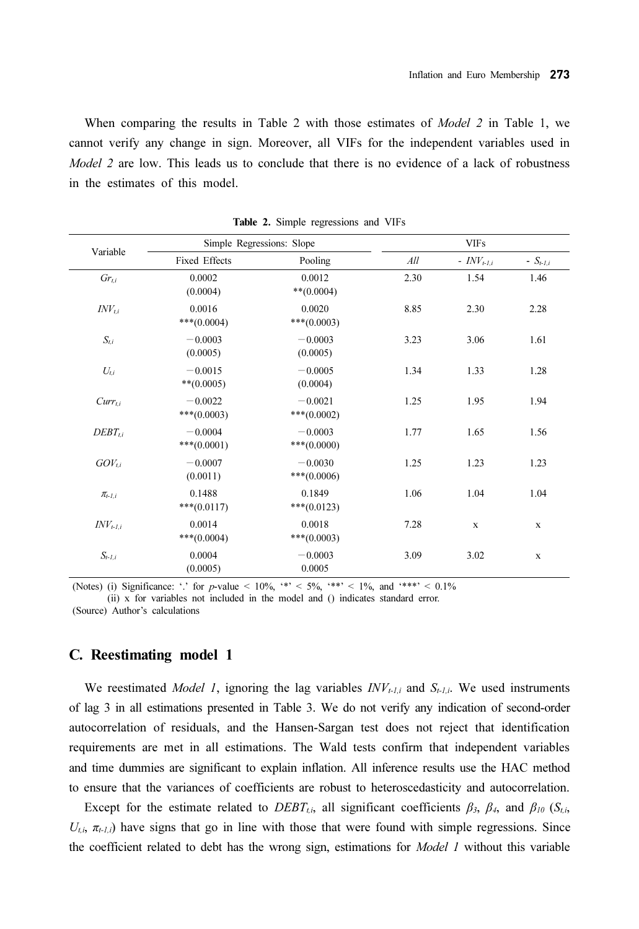When comparing the results in Table 2 with those estimates of *Model 2* in Table 1, we cannot verify any change in sign. Moreover, all VIFs for the independent variables used in Model 2 are low. This leads us to conclude that there is no evidence of a lack of robustness in the estimates of this model.

| Variable      |                            | Simple Regressions: Slope  |      | <b>VIFs</b>            |              |  |
|---------------|----------------------------|----------------------------|------|------------------------|--------------|--|
|               | Fixed Effects              | Pooling                    | All  | - $INV_{t\text{-}l,i}$ | $-S_{t-1,i}$ |  |
| $Gr_{t,i}$    | 0.0002<br>(0.0004)         | 0.0012<br>$**(0.0004)$     | 2.30 | 1.54                   | 1.46         |  |
| $INV_{ti}$    | 0.0016<br>$***(0.0004)$    | 0.0020<br>$***(0.0003)$    | 8.85 | 2.30                   | 2.28         |  |
| $S_{t,i}$     | $-0.0003$<br>(0.0005)      | $-0.0003$<br>(0.0005)      | 3.23 | 3.06                   | 1.61         |  |
| $U_{t,i}$     | $-0.0015$<br>$**$ (0.0005) | $-0.0005$<br>(0.0004)      | 1.34 | 1.33                   | 1.28         |  |
| $Curr_{ti}$   | $-0.0022$<br>***(0.0003)   | $-0.0021$<br>$***(0.0002)$ | 1.25 | 1.95                   | 1.94         |  |
| $DEBT_{ti}$   | $-0.0004$<br>$***(0.0001)$ | $-0.0003$<br>$***(0.0000)$ | 1.77 | 1.65                   | 1.56         |  |
| $GOV_{ti}$    | $-0.0007$<br>(0.0011)      | $-0.0030$<br>$***(0.0006)$ | 1.25 | 1.23                   | 1.23         |  |
| $\pi_{t-l,i}$ | 0.1488<br>$***(0.0117)$    | 0.1849<br>$***(0.0123)$    | 1.06 | 1.04                   | 1.04         |  |
| $INV_{t-1,i}$ | 0.0014<br>$***(0.0004)$    | 0.0018<br>$***(0.0003)$    | 7.28 | $\mathbf X$            | $\mathbf X$  |  |
| $S_{t-1,i}$   | 0.0004<br>(0.0005)         | $-0.0003$<br>0.0005        | 3.09 | 3.02                   | $\mathbf X$  |  |

Table 2. Simple regressions and VIFs

(Notes) (i) Significance: '.' for p-value  $\lt 10\%$ , '\*'  $\lt 5\%$ , '\*\*'  $\lt 1\%$ , and '\*\*\*'  $\lt 0.1\%$ (ii) x for variables not included in the model and () indicates standard error.

(Source) Author's calculations

#### C. Reestimating model 1

We reestimated *Model 1*, ignoring the lag variables  $INV_{t-l,i}$  and  $S_{t-l,i}$ . We used instruments of lag 3 in all estimations presented in Table 3. We do not verify any indication of second-order autocorrelation of residuals, and the Hansen-Sargan test does not reject that identification requirements are met in all estimations. The Wald tests confirm that independent variables and time dummies are significant to explain inflation. All inference results use the HAC method to ensure that the variances of coefficients are robust to heteroscedasticity and autocorrelation.

Except for the estimate related to  $DEBT_{t,i}$ , all significant coefficients  $\beta_3$ ,  $\beta_4$ , and  $\beta_{10}$  ( $S_{t,i}$ ,  $U_{l,i}$ ,  $\pi_{l-1,i}$ ) have signs that go in line with those that were found with simple regressions. Since the coefficient related to debt has the wrong sign, estimations for Model 1 without this variable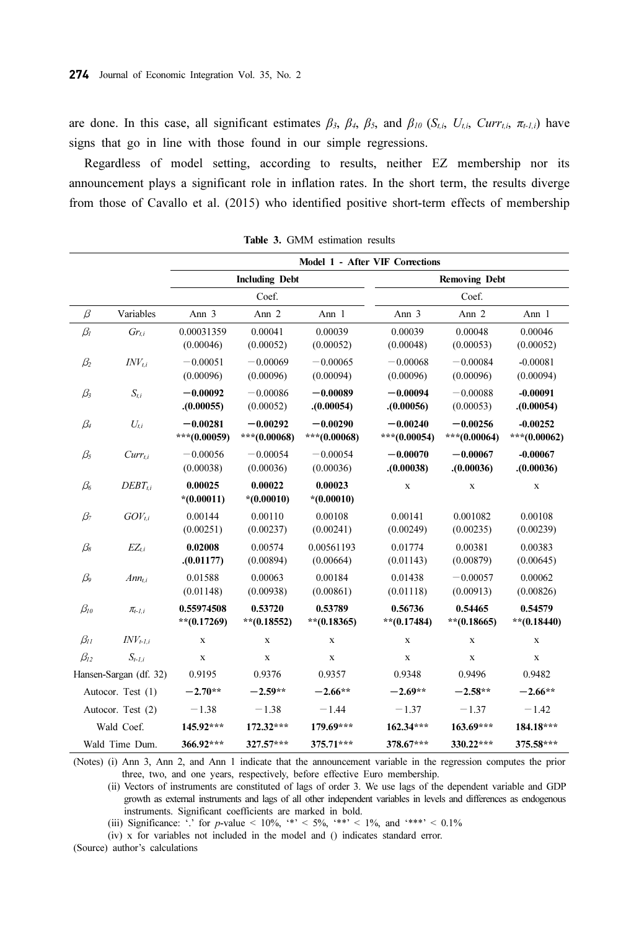are done. In this case, all significant estimates  $\beta_3$ ,  $\beta_4$ ,  $\beta_5$ , and  $\beta_{10}$  (S<sub>t,i</sub>, U<sub>ti</sub>, Curr<sub>t,i</sub>,  $\pi_{t-1,i}$ ) have signs that go in line with those found in our simple regressions.

Regardless of model setting, according to results, neither EZ membership nor its announcement plays a significant role in inflation rates. In the short term, the results diverge from those of Cavallo et al. (2015) who identified positive short-term effects of membership

|                   |                        | Model 1 - After VIF Corrections |                            |                            |                            |                            |                            |  |
|-------------------|------------------------|---------------------------------|----------------------------|----------------------------|----------------------------|----------------------------|----------------------------|--|
|                   |                        | <b>Including Debt</b>           |                            |                            | <b>Removing Debt</b>       |                            |                            |  |
|                   |                        | Coef.                           |                            |                            | Coef.                      |                            |                            |  |
| $\beta$           | Variables              | Ann 3                           | Ann <sub>2</sub>           | Ann 1                      | Ann 3                      | Ann 2                      | Ann 1                      |  |
| $\beta_I$         | $Gr_{t,i}$             | 0.00031359<br>(0.00046)         | 0.00041<br>(0.00052)       | 0.00039<br>(0.00052)       | 0.00039<br>(0.00048)       | 0.00048<br>(0.00053)       | 0.00046<br>(0.00052)       |  |
| $\beta_2$         | $INV_{ti}$             | $-0.00051$<br>(0.00096)         | $-0.00069$<br>(0.00096)    | $-0.00065$<br>(0.00094)    | $-0.00068$<br>(0.00096)    | $-0.00084$<br>(0.00096)    | $-0.00081$<br>(0.00094)    |  |
| $\beta_3$         | $S_{t,i}$              | $-0.00092$<br>(0.00055)         | $-0.00086$<br>(0.00052)    | $-0.00089$<br>(0.00054)    | $-0.00094$<br>(0.00056)    | $-0.00088$<br>(0.00053)    | $-0.00091$<br>(0.00054)    |  |
| $\beta_4$         | $U_{t,i}$              | $-0.00281$<br>***(0.00059)      | $-0.00292$<br>***(0.00068) | $-0.00290$<br>***(0.00068) | $-0.00240$<br>***(0.00054) | $-0.00256$<br>***(0.00064) | $-0.00252$<br>***(0.00062) |  |
| $\beta_5$         | $Curr_{t,i}$           | $-0.00056$<br>(0.00038)         | $-0.00054$<br>(0.00036)    | $-0.00054$<br>(0.00036)    | $-0.00070$<br>(0.00038)    | $-0.00067$<br>. (0.00036)  | $-0.00067$<br>. (0.00036)  |  |
| $\beta_6$         | $DEBT_{ti}$            | 0.00025<br>$*(0.00011)$         | 0.00022<br>$*(0.00010)$    | 0.00023<br>$*(0.00010)$    | $\mathbf x$                | $\mathbf X$                | $\mathbf X$                |  |
| $\beta_7$         | $GOV_{ti}$             | 0.00144<br>(0.00251)            | 0.00110<br>(0.00237)       | 0.00108<br>(0.00241)       | 0.00141<br>(0.00249)       | 0.001082<br>(0.00235)      | 0.00108<br>(0.00239)       |  |
| $\beta_{8}$       | $EZ_{t,i}$             | 0.02008<br>(0.01177)            | 0.00574<br>(0.00894)       | 0.00561193<br>(0.00664)    | 0.01774<br>(0.01143)       | 0.00381<br>(0.00879)       | 0.00383<br>(0.00645)       |  |
| $\beta_{9}$       | $Am_{ti}$              | 0.01588<br>(0.01148)            | 0.00063<br>(0.00938)       | 0.00184<br>(0.00861)       | 0.01438<br>(0.01118)       | $-0.00057$<br>(0.00913)    | 0.00062<br>(0.00826)       |  |
| $\beta_{10}$      | $\pi_{t-1,i}$          | 0.55974508<br>** $(0.17269)$    | 0.53720<br>** $(0.18552)$  | 0.53789<br>** $(0.18365)$  | 0.56736<br>** $(0.17484)$  | 0.54465<br>$**$ (0.18665)  | 0.54579<br>** $(0.18440)$  |  |
| $\beta_{II}$      | $INV_{t-1,i}$          | $\mathbf x$                     | $\mathbf x$                | $\mathbf x$                | $\mathbf x$                | $\mathbf x$                | $\mathbf x$                |  |
| $\beta_{12}$      | $S_{t-l,i}$            | $\mathbf X$                     | $\mathbf x$                | $\mathbf X$                | $\mathbf x$                | $\mathbf X$                | $\mathbf X$                |  |
|                   | Hansen-Sargan (df. 32) | 0.9195                          | 0.9376                     | 0.9357                     | 0.9348                     | 0.9496                     | 0.9482                     |  |
| Autocor. Test (1) |                        | $-2.70**$                       | $-2.59**$                  | $-2.66**$                  | $-2.69**$                  | $-2.58**$                  | $-2.66**$                  |  |
|                   | Autocor. Test (2)      | $-1.38$                         | $-1.38$                    | $-1.44$                    | $-1.37$                    | $-1.37$                    | $-1.42$                    |  |
|                   | Wald Coef.             | 145.92***                       | 172.32***                  | 179.69***                  | $162.34***$                | 163.69***                  | 184.18***                  |  |
| Wald Time Dum.    |                        | 366.92***                       | $327.57***$                | 375.71***                  | 378.67***                  | 330.22***                  | 375.58***                  |  |

Table 3. GMM estimation results

(Notes) (i) Ann 3, Ann 2, and Ann 1 indicate that the announcement variable in the regression computes the prior three, two, and one years, respectively, before effective Euro membership.

(ii) Vectors of instruments are constituted of lags of order 3. We use lags of the dependent variable and GDP growth as external instruments and lags of all other independent variables in levels and differences as endogenous instruments. Significant coefficients are marked in bold.

(iii) Significance:  $\cdot$ , for p-value < 10%,  $\cdot$  \* < 5%,  $\cdot$  \*\* < 1%, and  $\cdot$  \*\*\* < 0.1%

(iv) x for variables not included in the model and () indicates standard error.

(Source) author's calculations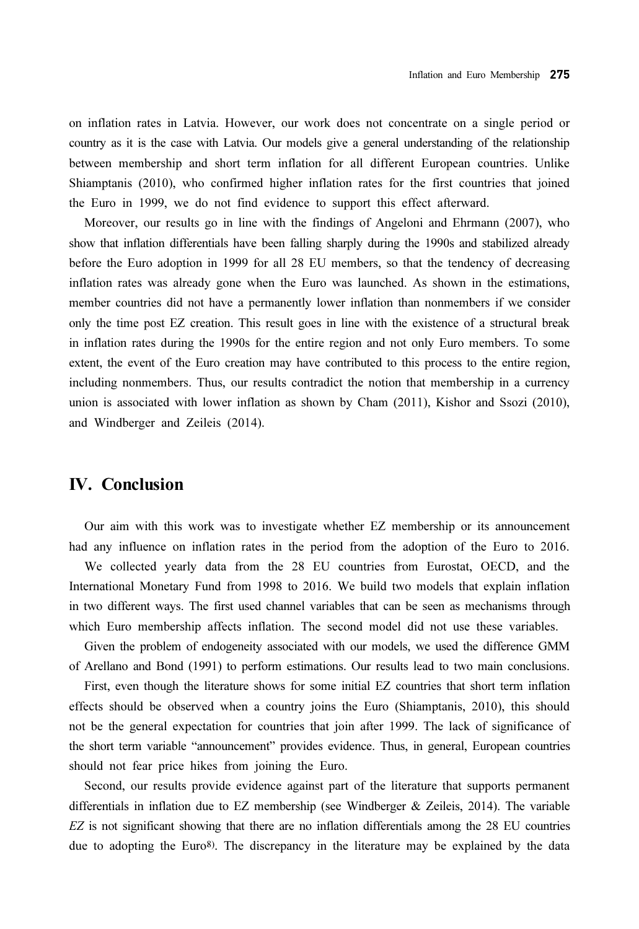on inflation rates in Latvia. However, our work does not concentrate on a single period or country as it is the case with Latvia. Our models give a general understanding of the relationship between membership and short term inflation for all different European countries. Unlike Shiamptanis (2010), who confirmed higher inflation rates for the first countries that joined the Euro in 1999, we do not find evidence to support this effect afterward.

Moreover, our results go in line with the findings of Angeloni and Ehrmann (2007), who show that inflation differentials have been falling sharply during the 1990s and stabilized already before the Euro adoption in 1999 for all 28 EU members, so that the tendency of decreasing inflation rates was already gone when the Euro was launched. As shown in the estimations, member countries did not have a permanently lower inflation than nonmembers if we consider only the time post EZ creation. This result goes in line with the existence of a structural break in inflation rates during the 1990s for the entire region and not only Euro members. To some extent, the event of the Euro creation may have contributed to this process to the entire region, including nonmembers. Thus, our results contradict the notion that membership in a currency union is associated with lower inflation as shown by Cham (2011), Kishor and Ssozi (2010), and Windberger and Zeileis (2014).

### IV. Conclusion

Our aim with this work was to investigate whether EZ membership or its announcement had any influence on inflation rates in the period from the adoption of the Euro to 2016. We collected yearly data from the 28 EU countries from Eurostat, OECD, and the International Monetary Fund from 1998 to 2016. We build two models that explain inflation in two different ways. The first used channel variables that can be seen as mechanisms through which Euro membership affects inflation. The second model did not use these variables.

Given the problem of endogeneity associated with our models, we used the difference GMM of Arellano and Bond (1991) to perform estimations. Our results lead to two main conclusions.

First, even though the literature shows for some initial EZ countries that short term inflation effects should be observed when a country joins the Euro (Shiamptanis, 2010), this should not be the general expectation for countries that join after 1999. The lack of significance of the short term variable "announcement" provides evidence. Thus, in general, European countries should not fear price hikes from joining the Euro.

Second, our results provide evidence against part of the literature that supports permanent differentials in inflation due to EZ membership (see Windberger & Zeileis, 2014). The variable EZ is not significant showing that there are no inflation differentials among the 28 EU countries due to adopting the Euro<sup>8</sup>). The discrepancy in the literature may be explained by the data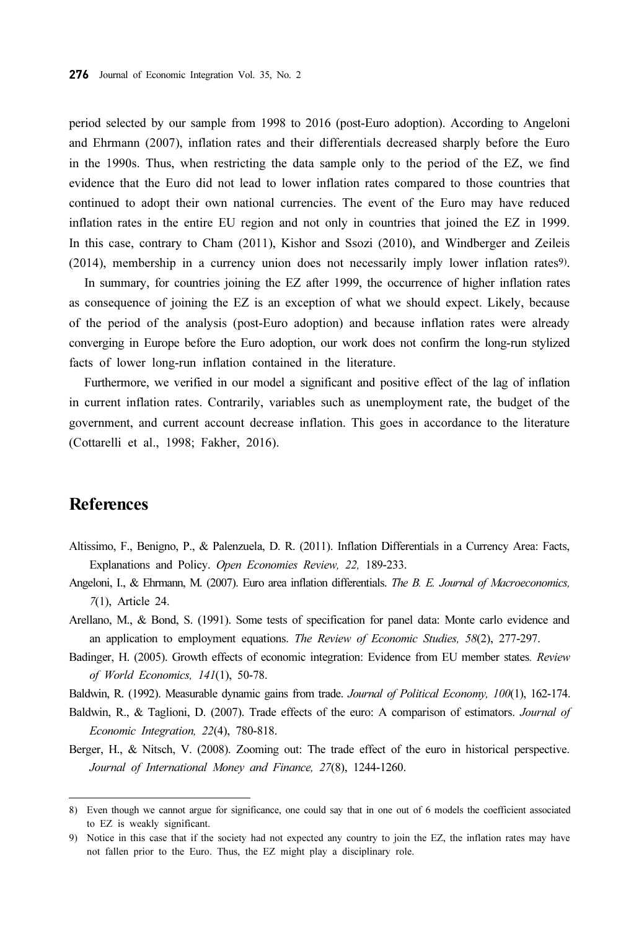period selected by our sample from 1998 to 2016 (post-Euro adoption). According to Angeloni and Ehrmann (2007), inflation rates and their differentials decreased sharply before the Euro in the 1990s. Thus, when restricting the data sample only to the period of the EZ, we find evidence that the Euro did not lead to lower inflation rates compared to those countries that continued to adopt their own national currencies. The event of the Euro may have reduced inflation rates in the entire EU region and not only in countries that joined the EZ in 1999. In this case, contrary to Cham (2011), Kishor and Ssozi (2010), and Windberger and Zeileis (2014), membership in a currency union does not necessarily imply lower inflation rates9).

In summary, for countries joining the EZ after 1999, the occurrence of higher inflation rates as consequence of joining the EZ is an exception of what we should expect. Likely, because of the period of the analysis (post-Euro adoption) and because inflation rates were already converging in Europe before the Euro adoption, our work does not confirm the long-run stylized facts of lower long-run inflation contained in the literature.

Furthermore, we verified in our model a significant and positive effect of the lag of inflation in current inflation rates. Contrarily, variables such as unemployment rate, the budget of the government, and current account decrease inflation. This goes in accordance to the literature (Cottarelli et al., 1998; Fakher, 2016).

## **References**

- Altissimo, F., Benigno, P., & Palenzuela, D. R. (2011). Inflation Differentials in a Currency Area: Facts, Explanations and Policy. Open Economies Review, 22, 189-233.
- Angeloni, I., & Ehrmann, M. (2007). Euro area inflation differentials. The B. E. Journal of Macroeconomics, 7(1), Article 24.
- Arellano, M., & Bond, S. (1991). Some tests of specification for panel data: Monte carlo evidence and an application to employment equations. The Review of Economic Studies, 58(2), 277-297.
- Badinger, H. (2005). Growth effects of economic integration: Evidence from EU member states. Review of World Economics, 141(1), 50-78.

Baldwin, R. (1992). Measurable dynamic gains from trade. Journal of Political Economy, 100(1), 162-174.

- Baldwin, R., & Taglioni, D. (2007). Trade effects of the euro: A comparison of estimators. *Journal of* Economic Integration, 22(4), 780-818.
- Berger, H., & Nitsch, V. (2008). Zooming out: The trade effect of the euro in historical perspective. Journal of International Money and Finance, 27(8), 1244-1260.

<sup>8)</sup> Even though we cannot argue for significance, one could say that in one out of 6 models the coefficient associated to EZ is weakly significant.

<sup>9)</sup> Notice in this case that if the society had not expected any country to join the EZ, the inflation rates may have not fallen prior to the Euro. Thus, the EZ might play a disciplinary role.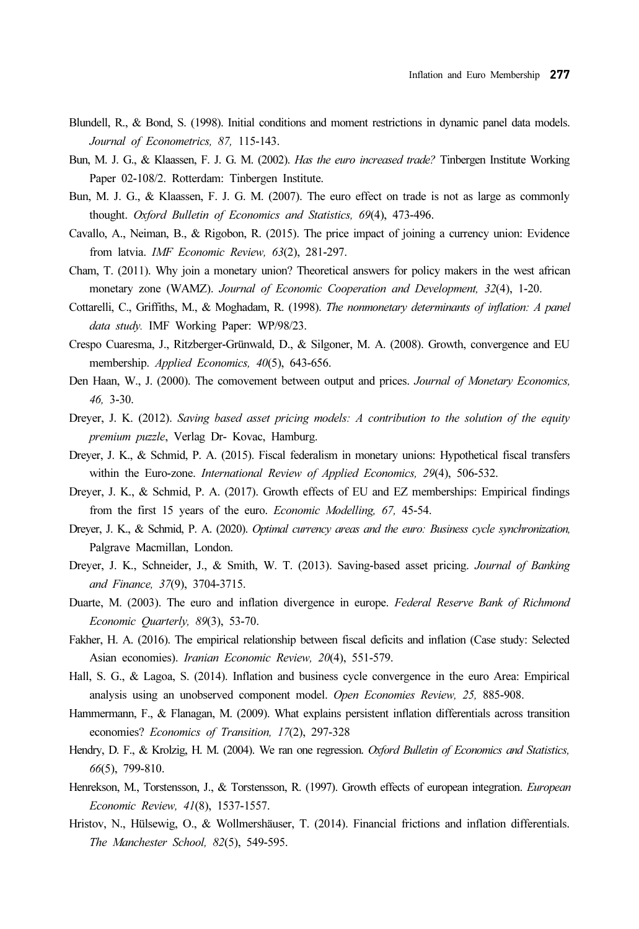- Blundell, R., & Bond, S. (1998). Initial conditions and moment restrictions in dynamic panel data models. Journal of Econometrics, 87, 115-143.
- Bun, M. J. G., & Klaassen, F. J. G. M. (2002). Has the euro increased trade? Tinbergen Institute Working Paper 02-108/2. Rotterdam: Tinbergen Institute.
- Bun, M. J. G., & Klaassen, F. J. G. M. (2007). The euro effect on trade is not as large as commonly thought. Oxford Bulletin of Economics and Statistics, 69(4), 473-496.
- Cavallo, A., Neiman, B., & Rigobon, R. (2015). The price impact of joining a currency union: Evidence from latvia. IMF Economic Review, 63(2), 281-297.
- Cham, T. (2011). Why join a monetary union? Theoretical answers for policy makers in the west african monetary zone (WAMZ). Journal of Economic Cooperation and Development, 32(4), 1-20.
- Cottarelli, C., Griffiths, M., & Moghadam, R. (1998). The nonmonetary determinants of inflation: A panel data study. IMF Working Paper: WP/98/23.
- Crespo Cuaresma, J., Ritzberger-Grünwald, D., & Silgoner, M. A. (2008). Growth, convergence and EU membership. Applied Economics, 40(5), 643-656.
- Den Haan, W., J. (2000). The comovement between output and prices. Journal of Monetary Economics, 46, 3-30.
- Dreyer, J. K. (2012). Saving based asset pricing models: A contribution to the solution of the equity premium puzzle, Verlag Dr- Kovac, Hamburg.
- Dreyer, J. K., & Schmid, P. A. (2015). Fiscal federalism in monetary unions: Hypothetical fiscal transfers within the Euro-zone. International Review of Applied Economics, 29(4), 506-532.
- Dreyer, J. K., & Schmid, P. A. (2017). Growth effects of EU and EZ memberships: Empirical findings from the first 15 years of the euro. Economic Modelling, 67, 45-54.
- Dreyer, J. K., & Schmid, P. A. (2020). Optimal currency areas and the euro: Business cycle synchronization, Palgrave Macmillan, London.
- Dreyer, J. K., Schneider, J., & Smith, W. T. (2013). Saving-based asset pricing. Journal of Banking and Finance, 37(9), 3704-3715.
- Duarte, M. (2003). The euro and inflation divergence in europe. Federal Reserve Bank of Richmond Economic Quarterly, 89(3), 53-70.
- Fakher, H. A. (2016). The empirical relationship between fiscal deficits and inflation (Case study: Selected Asian economies). Iranian Economic Review, 20(4), 551-579.
- Hall, S. G., & Lagoa, S. (2014). Inflation and business cycle convergence in the euro Area: Empirical analysis using an unobserved component model. Open Economies Review, 25, 885-908.
- Hammermann, F., & Flanagan, M. (2009). What explains persistent inflation differentials across transition economies? Economics of Transition, 17(2), 297-328
- Hendry, D. F., & Krolzig, H. M. (2004). We ran one regression. Oxford Bulletin of Economics and Statistics, 66(5), 799-810.
- Henrekson, M., Torstensson, J., & Torstensson, R. (1997). Growth effects of european integration. European Economic Review, 41(8), 1537-1557.
- Hristov, N., Hülsewig, O., & Wollmershäuser, T. (2014). Financial frictions and inflation differentials. The Manchester School, 82(5), 549-595.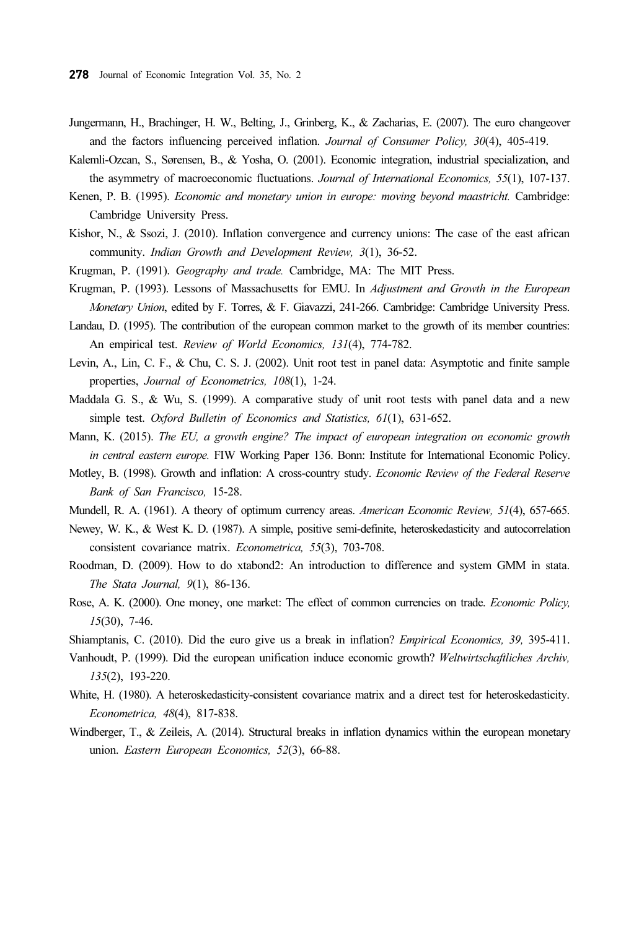- Jungermann, H., Brachinger, H. W., Belting, J., Grinberg, K., & Zacharias, E. (2007). The euro changeover and the factors influencing perceived inflation. Journal of Consumer Policy, 30(4), 405-419.
- Kalemli-Ozcan, S., Sørensen, B., & Yosha, O. (2001). Economic integration, industrial specialization, and the asymmetry of macroeconomic fluctuations. Journal of International Economics, 55(1), 107-137.
- Kenen, P. B. (1995). Economic and monetary union in europe: moving beyond maastricht. Cambridge: Cambridge University Press.
- Kishor, N., & Ssozi, J. (2010). Inflation convergence and currency unions: The case of the east african community. Indian Growth and Development Review, 3(1), 36-52.
- Krugman, P. (1991). Geography and trade. Cambridge, MA: The MIT Press.
- Krugman, P. (1993). Lessons of Massachusetts for EMU. In Adjustment and Growth in the European Monetary Union, edited by F. Torres, & F. Giavazzi, 241-266. Cambridge: Cambridge University Press.
- Landau, D. (1995). The contribution of the european common market to the growth of its member countries: An empirical test. Review of World Economics, 131(4), 774-782.
- Levin, A., Lin, C. F., & Chu, C. S. J. (2002). Unit root test in panel data: Asymptotic and finite sample properties, Journal of Econometrics, 108(1), 1-24.
- Maddala G. S., & Wu, S. (1999). A comparative study of unit root tests with panel data and a new simple test. Oxford Bulletin of Economics and Statistics, 61(1), 631-652.
- Mann, K. (2015). The EU, a growth engine? The impact of european integration on economic growth in central eastern europe. FIW Working Paper 136. Bonn: Institute for International Economic Policy.
- Motley, B. (1998). Growth and inflation: A cross-country study. Economic Review of the Federal Reserve Bank of San Francisco, 15-28.
- Mundell, R. A. (1961). A theory of optimum currency areas. American Economic Review, 51(4), 657-665.
- Newey, W. K., & West K. D. (1987). A simple, positive semi-definite, heteroskedasticity and autocorrelation consistent covariance matrix. Econometrica, 55(3), 703-708.
- Roodman, D. (2009). How to do xtabond2: An introduction to difference and system GMM in stata. The Stata Journal, 9(1), 86-136.
- Rose, A. K. (2000). One money, one market: The effect of common currencies on trade. Economic Policy, 15(30), 7-46.
- Shiamptanis, C. (2010). Did the euro give us a break in inflation? Empirical Economics, 39, 395-411.
- Vanhoudt, P. (1999). Did the european unification induce economic growth? Weltwirtschaftliches Archiv, 135(2), 193-220.
- White, H. (1980). A heteroskedasticity-consistent covariance matrix and a direct test for heteroskedasticity. Econometrica, 48(4), 817-838.
- Windberger, T., & Zeileis, A. (2014). Structural breaks in inflation dynamics within the european monetary union. Eastern European Economics, 52(3), 66-88.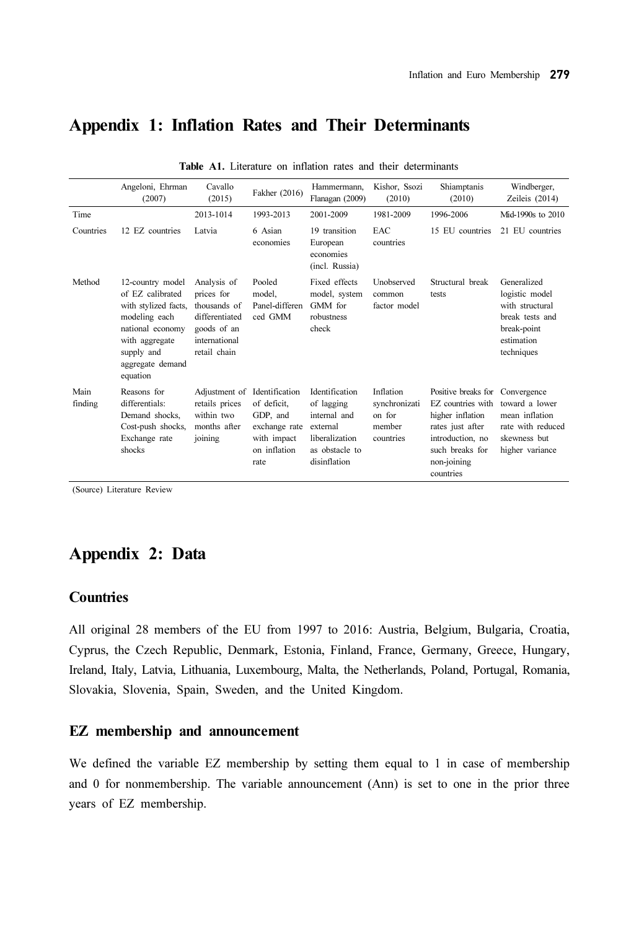## Appendix 1: Inflation Rates and Their Determinants

|                 | Angeloni, Ehrman<br>(2007)                                                                                                                                        | Cavallo<br>(2015)                                                                                           | Fakher (2016)                                                                   | Hammermann.<br>Flanagan (2009)                                                                               | Kishor, Ssozi<br>(2010)                                     | Shiamptanis<br>(2010)                                                                                                                                                          | Windberger,<br>Zeileis $(2014)$                                                                                |
|-----------------|-------------------------------------------------------------------------------------------------------------------------------------------------------------------|-------------------------------------------------------------------------------------------------------------|---------------------------------------------------------------------------------|--------------------------------------------------------------------------------------------------------------|-------------------------------------------------------------|--------------------------------------------------------------------------------------------------------------------------------------------------------------------------------|----------------------------------------------------------------------------------------------------------------|
| Time            |                                                                                                                                                                   | 2013-1014                                                                                                   | 1993-2013                                                                       | 2001-2009                                                                                                    | 1981-2009                                                   | 1996-2006                                                                                                                                                                      | Mid-1990s to 2010                                                                                              |
| Countries       | 12 EZ countries                                                                                                                                                   | Latvia                                                                                                      | 6 Asian<br>economies                                                            | 19 transition<br>European<br>economies<br>(incl. Russia)                                                     | <b>EAC</b><br>countries                                     | 15 EU countries                                                                                                                                                                | 21 EU countries                                                                                                |
| Method          | 12-country model<br>of EZ calibrated<br>with stylized facts,<br>modeling each<br>national economy<br>with aggregate<br>supply and<br>aggregate demand<br>equation | Analysis of<br>prices for<br>thousands of<br>differentiated<br>goods of an<br>international<br>retail chain | Pooled<br>model.<br>Panel-differen<br>ced GMM                                   | Fixed effects<br>model, system<br>GMM for<br>robustness<br>check                                             | <b>Unobserved</b><br>common<br>factor model                 | Structural break<br>tests                                                                                                                                                      | Generalized<br>logistic model<br>with structural<br>break tests and<br>break-point<br>estimation<br>techniques |
| Main<br>finding | Reasons for<br>differentials:<br>Demand shocks,<br>Cost-push shocks,<br>Exchange rate<br>shocks                                                                   | Adjustment of Identification<br>retails prices<br>within two<br>months after<br>joining                     | of deficit.<br>GDP, and<br>exchange rate<br>with impact<br>on inflation<br>rate | Identification<br>of lagging<br>internal and<br>external<br>liberalization<br>as obstacle to<br>disinflation | Inflation<br>synchronizati<br>on for<br>member<br>countries | Positive breaks for Convergence<br>EZ countries with toward a lower<br>higher inflation<br>rates just after<br>introduction, no<br>such breaks for<br>non-joining<br>countries | mean inflation<br>rate with reduced<br>skewness but<br>higher variance                                         |

Table A1. Literature on inflation rates and their determinants

(Source) Literature Review

## Appendix 2: Data

#### **Countries**

All original 28 members of the EU from 1997 to 2016: Austria, Belgium, Bulgaria, Croatia, Cyprus, the Czech Republic, Denmark, Estonia, Finland, France, Germany, Greece, Hungary, Ireland, Italy, Latvia, Lithuania, Luxembourg, Malta, the Netherlands, Poland, Portugal, Romania, Slovakia, Slovenia, Spain, Sweden, and the United Kingdom.

#### EZ membership and announcement

We defined the variable EZ membership by setting them equal to 1 in case of membership and 0 for nonmembership. The variable announcement (Ann) is set to one in the prior three years of EZ membership.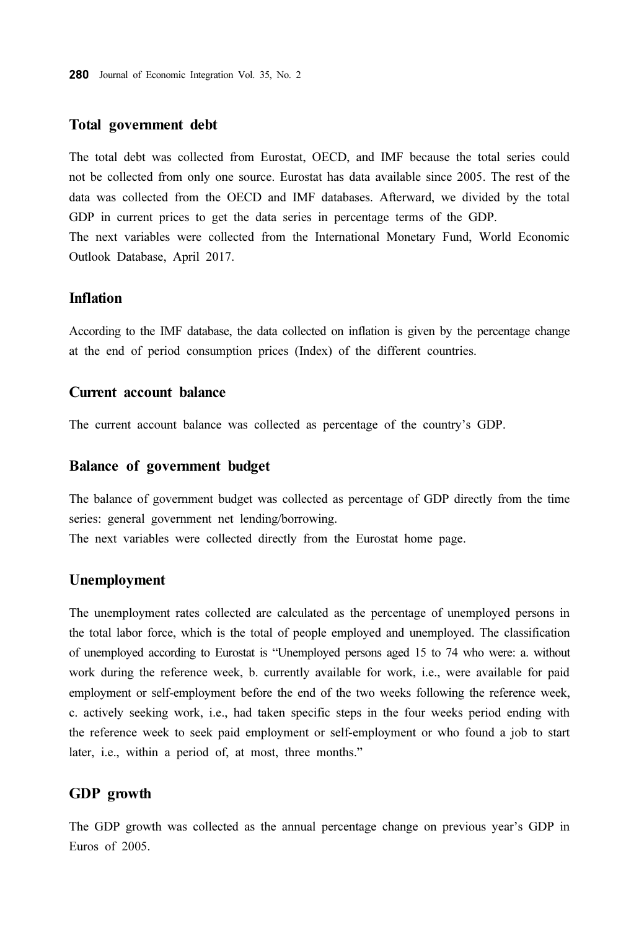#### Total government debt

The total debt was collected from Eurostat, OECD, and IMF because the total series could not be collected from only one source. Eurostat has data available since 2005. The rest of the data was collected from the OECD and IMF databases. Afterward, we divided by the total GDP in current prices to get the data series in percentage terms of the GDP. The next variables were collected from the International Monetary Fund, World Economic Outlook Database, April 2017.

#### Inflation

According to the IMF database, the data collected on inflation is given by the percentage change at the end of period consumption prices (Index) of the different countries.

#### Current account balance

The current account balance was collected as percentage of the country's GDP.

#### Balance of government budget

The balance of government budget was collected as percentage of GDP directly from the time series: general government net lending/borrowing.

The next variables were collected directly from the Eurostat home page.

#### Unemployment

The unemployment rates collected are calculated as the percentage of unemployed persons in the total labor force, which is the total of people employed and unemployed. The classification of unemployed according to Eurostat is "Unemployed persons aged 15 to 74 who were: a. without work during the reference week, b. currently available for work, i.e., were available for paid employment or self-employment before the end of the two weeks following the reference week, c. actively seeking work, i.e., had taken specific steps in the four weeks period ending with the reference week to seek paid employment or self-employment or who found a job to start later, i.e., within a period of, at most, three months."

#### GDP growth

The GDP growth was collected as the annual percentage change on previous year's GDP in Euros of 2005.